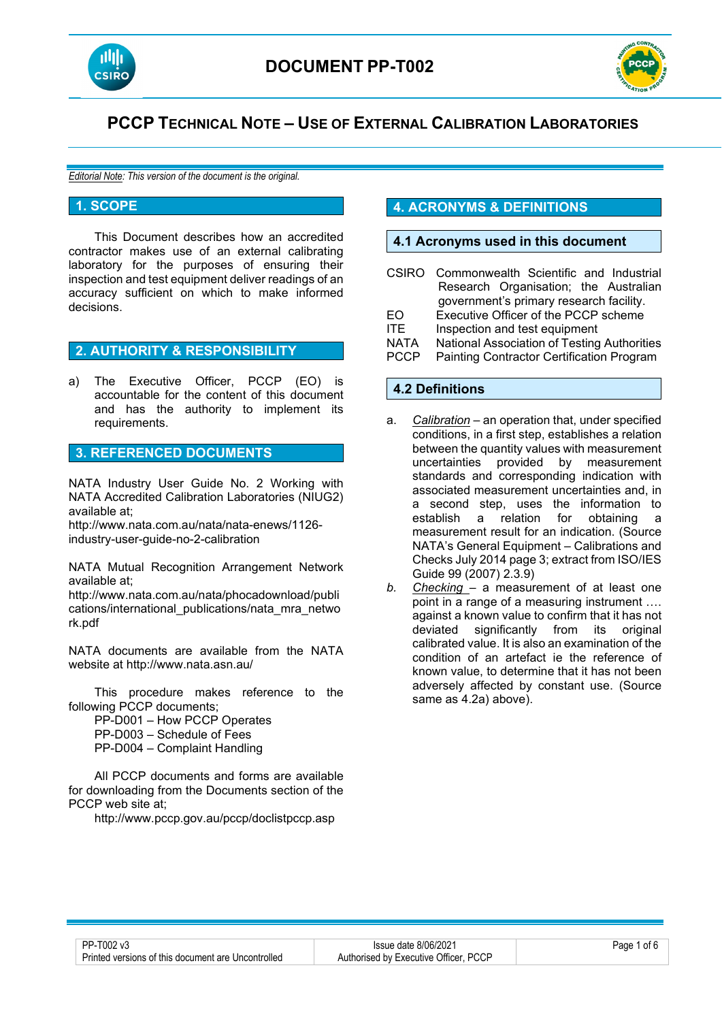



# **PCCP TECHNICAL NOTE – USE OF EXTERNAL CALIBRATION LABORATORIES**

*Editorial Note: This version of the document is the original.*

#### **1. SCOPE**

This Document describes how an accredited contractor makes use of an external calibrating laboratory for the purposes of ensuring their inspection and test equipment deliver readings of an accuracy sufficient on which to make informed decisions.

### **2. AUTHORITY & RESPONSIBILITY**

a) The Executive Officer, PCCP (EO) is accountable for the content of this document and has the authority to implement its requirements.

### **3. REFERENCED DOCUMENTS**

NATA Industry User Guide No. 2 Working with NATA Accredited Calibration Laboratories (NIUG2) available at;

http://www.nata.com.au/nata/nata-enews/1126 industry-user-guide-no-2-calibration

NATA Mutual Recognition Arrangement Network available at;

http://www.nata.com.au/nata/phocadownload/publi cations/international\_publications/nata\_mra\_netwo rk.pdf

NATA documents are available from the NATA website at http://www.nata.asn.au/

This procedure makes reference to the following PCCP documents;

PP-D001 – How PCCP Operates

PP-D003 – Schedule of Fees

PP-D004 – Complaint Handling

All PCCP documents and forms are available for downloading from the Documents section of the PCCP web site at;

http://www.pccp.gov.au/pccp/doclistpccp.asp

## **4. ACRONYMS & DEFINITIONS**

### **4.1 Acronyms used in this document**

- CSIRO Commonwealth Scientific and Industrial Research Organisation; the Australian government's primary research facility.
- EO Executive Officer of the PCCP scheme
- ITE Inspection and test equipment
- NATA National Association of Testing Authorities
- Painting Contractor Certification Program

### **4.2 Definitions**

- a. *Calibration –* an operation that, under specified conditions, in a first step, establishes a relation between the quantity values with measurement uncertainties provided by measurement standards and corresponding indication with associated measurement uncertainties and, in a second step, uses the information to<br>establish a relation for obtaining a establish a relation for obtaining a measurement result for an indication. (Source NATA's General Equipment – Calibrations and Checks July 2014 page 3; extract from ISO/IES Guide 99 (2007) 2.3.9)
- *b. Checking* a measurement of at least one point in a range of a measuring instrument …. against a known value to confirm that it has not deviated significantly from its original calibrated value. It is also an examination of the condition of an artefact ie the reference of known value, to determine that it has not been adversely affected by constant use. (Source same as 4.2a) above).

| PP-T002 v3                                         |  |
|----------------------------------------------------|--|
| Printed versions of this document are Uncontrolled |  |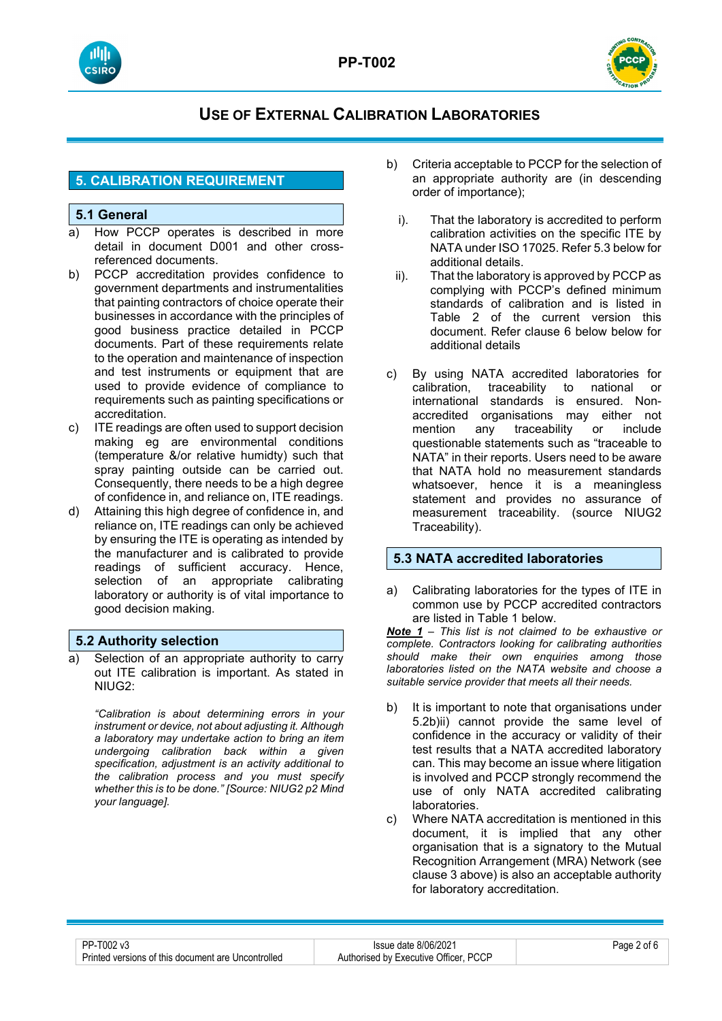



### **5. CALIBRATION REQUIREMENT**

### **5.1 General**

- a) How PCCP operates is described in more detail in document D001 and other crossreferenced documents.
- b) PCCP accreditation provides confidence to government departments and instrumentalities that painting contractors of choice operate their businesses in accordance with the principles of good business practice detailed in PCCP documents. Part of these requirements relate to the operation and maintenance of inspection and test instruments or equipment that are used to provide evidence of compliance to requirements such as painting specifications or accreditation.
- c) ITE readings are often used to support decision making eg are environmental conditions (temperature &/or relative humidty) such that spray painting outside can be carried out. Consequently, there needs to be a high degree of confidence in, and reliance on, ITE readings.
- d) Attaining this high degree of confidence in, and reliance on, ITE readings can only be achieved by ensuring the ITE is operating as intended by the manufacturer and is calibrated to provide readings of sufficient accuracy. Hence, selection of an appropriate calibrating laboratory or authority is of vital importance to good decision making.

### **5.2 Authority selection**

a) Selection of an appropriate authority to carry out ITE calibration is important. As stated in NIUG2:

*"Calibration is about determining errors in your instrument or device, not about adjusting it. Although a laboratory may undertake action to bring an item undergoing calibration back within a given specification, adjustment is an activity additional to the calibration process and you must specify whether this is to be done." [Source: NIUG2 p2 Mind your language].*

- b) Criteria acceptable to PCCP for the selection of an appropriate authority are (in descending order of importance);
	- i). That the laboratory is accredited to perform calibration activities on the specific ITE by NATA under ISO 17025. Refer 5.3 below for additional details.
	- ii). That the laboratory is approved by PCCP as complying with PCCP's defined minimum standards of calibration and is listed in Table 2 of the current version this document. Refer clause 6 below below for additional details
- c) By using NATA accredited laboratories for calibration, traceability to national or international standards is ensured. Nonaccredited organisations may either not traceability questionable statements such as "traceable to NATA" in their reports. Users need to be aware that NATA hold no measurement standards whatsoever, hence it is a meaningless statement and provides no assurance of measurement traceability. (source NIUG2 Traceability).

### **5.3 NATA accredited laboratories**

a) Calibrating laboratories for the types of ITE in common use by PCCP accredited contractors are listed in Table 1 below.

*Note 1 – This list is not claimed to be exhaustive or complete. Contractors looking for calibrating authorities should make their own enquiries among those laboratories listed on the NATA website and choose a suitable service provider that meets all their needs.*

- b) It is important to note that organisations under 5.2b)ii) cannot provide the same level of confidence in the accuracy or validity of their test results that a NATA accredited laboratory can. This may become an issue where litigation is involved and PCCP strongly recommend the use of only NATA accredited calibrating laboratories.
- c) Where NATA accreditation is mentioned in this document, it is implied that any other organisation that is a signatory to the Mutual Recognition Arrangement (MRA) Network (see clause 3 above) is also an acceptable authority for laboratory accreditation.

| PP-T002 v3                                         | Issue date 8/06/2021                  | $P$ age $\angle$<br>ot t |
|----------------------------------------------------|---------------------------------------|--------------------------|
| Printed versions of this document are Uncontrolled | Authorised by Executive Officer, PCCP |                          |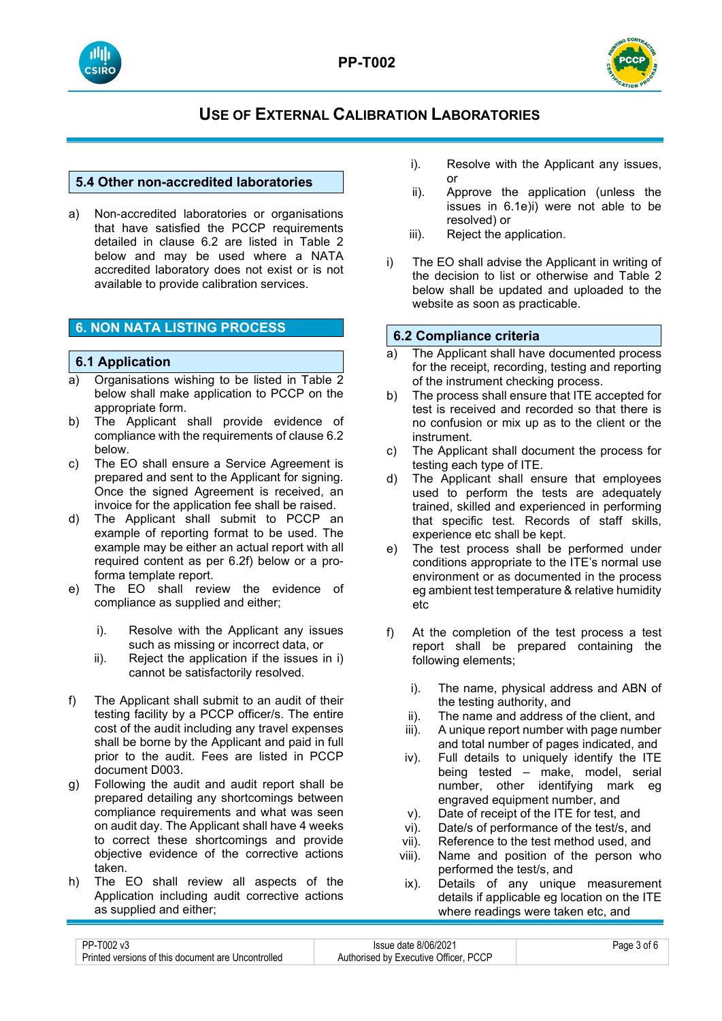





### **5.4 Other non-accredited laboratories**

a) Non-accredited laboratories or organisations that have satisfied the PCCP requirements detailed in clause 6.2 are listed in Table 2 below and may be used where a NATA accredited laboratory does not exist or is not available to provide calibration services.

### **6. NON NATA LISTING PROCESS**

### **6.1 Application**

- a) Organisations wishing to be listed in Table 2 below shall make application to PCCP on the appropriate form.
- b) The Applicant shall provide evidence of compliance with the requirements of clause 6.2 below.
- c) The EO shall ensure a Service Agreement is prepared and sent to the Applicant for signing. Once the signed Agreement is received, an invoice for the application fee shall be raised.
- d) The Applicant shall submit to PCCP an example of reporting format to be used. The example may be either an actual report with all required content as per 6.2f) below or a proforma template report.
- e) The EO shall review the evidence of compliance as supplied and either;
	- i). Resolve with the Applicant any issues such as missing or incorrect data, or
	- ii). Reject the application if the issues in i) cannot be satisfactorily resolved.
- f) The Applicant shall submit to an audit of their testing facility by a PCCP officer/s. The entire cost of the audit including any travel expenses shall be borne by the Applicant and paid in full prior to the audit. Fees are listed in PCCP document D003.
- g) Following the audit and audit report shall be prepared detailing any shortcomings between compliance requirements and what was seen on audit day. The Applicant shall have 4 weeks to correct these shortcomings and provide objective evidence of the corrective actions taken.
- h) The EO shall review all aspects of the Application including audit corrective actions as supplied and either;
- i). Resolve with the Applicant any issues, or
- ii). Approve the application (unless the issues in 6.1e)i) were not able to be resolved) or
- iii). Reject the application.
- i) The EO shall advise the Applicant in writing of the decision to list or otherwise and Table 2 below shall be updated and uploaded to the website as soon as practicable.

### **6.2 Compliance criteria**

- a) The Applicant shall have documented process for the receipt, recording, testing and reporting of the instrument checking process.
- b) The process shall ensure that ITE accepted for test is received and recorded so that there is no confusion or mix up as to the client or the instrument.
- c) The Applicant shall document the process for testing each type of ITE.
- d) The Applicant shall ensure that employees used to perform the tests are adequately trained, skilled and experienced in performing that specific test. Records of staff skills, experience etc shall be kept.
- e) The test process shall be performed under conditions appropriate to the ITE's normal use environment or as documented in the process eg ambient test temperature & relative humidity etc
- f) At the completion of the test process a test report shall be prepared containing the following elements;
	- i). The name, physical address and ABN of the testing authority, and
	- ii). The name and address of the client, and
	- iii). A unique report number with page number and total number of pages indicated, and
	- iv). Full details to uniquely identify the ITE being tested – make, model, serial number, other identifying mark eg engraved equipment number, and
	- v). Date of receipt of the ITE for test, and<br>vi). Date/s of performance of the test/s, an
	- vi). Date/s of performance of the test/s, and<br>vii). Reference to the test method used, and
	- Reference to the test method used, and
	- viii). Name and position of the person who performed the test/s, and
	- ix). Details of any unique measurement details if applicable eg location on the ITE where readings were taken etc, and

| PP-T002 v3                                         | Issue date 8/06/2021                  | Page 3 of 6 |
|----------------------------------------------------|---------------------------------------|-------------|
| Printed versions of this document are Uncontrolled | Authorised by Executive Officer, PCCP |             |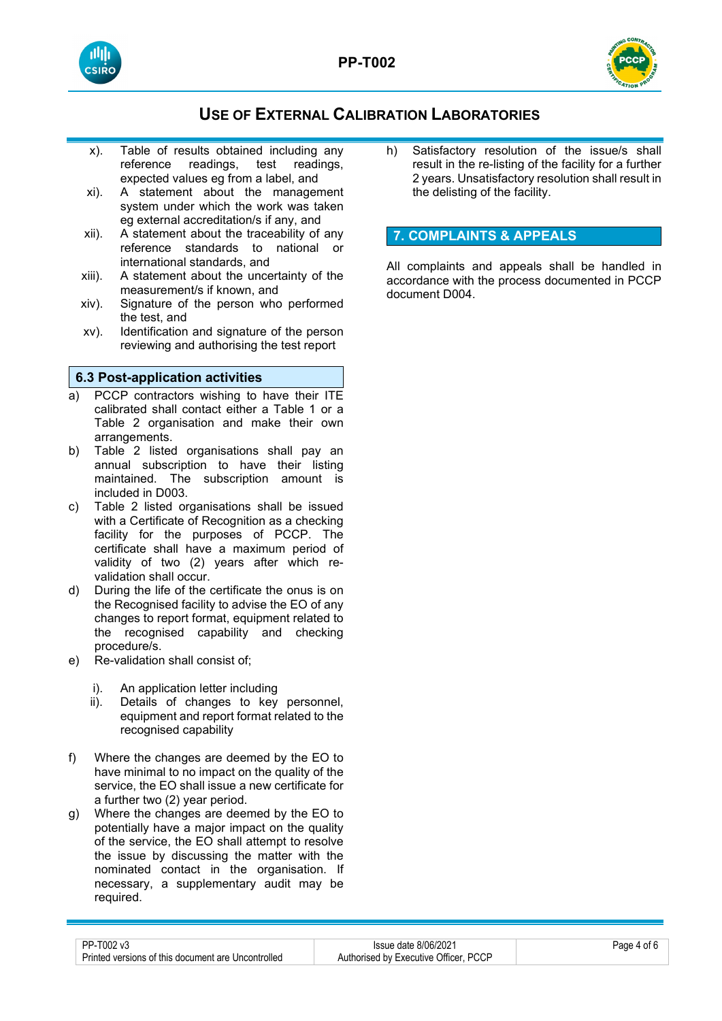



- x). Table of results obtained including any<br>reference readings, test readings, reference readings, test expected values eg from a label, and
- xi). A statement about the management system under which the work was taken eg external accreditation/s if any, and
- xii). A statement about the traceability of any reference standards to national or international standards, and
- xiii). A statement about the uncertainty of the measurement/s if known, and
- xiv). Signature of the person who performed the test, and
- xv). Identification and signature of the person reviewing and authorising the test report

### **6.3 Post-application activities**

- PCCP contractors wishing to have their ITE calibrated shall contact either a Table 1 or a Table 2 organisation and make their own arrangements.
- b) Table 2 listed organisations shall pay an annual subscription to have their listing maintained. The subscription amount is included in D003.
- c) Table 2 listed organisations shall be issued with a Certificate of Recognition as a checking facility for the purposes of PCCP. The certificate shall have a maximum period of validity of two (2) years after which revalidation shall occur.
- d) During the life of the certificate the onus is on the Recognised facility to advise the EO of any changes to report format, equipment related to the recognised capability and checking procedure/s.
- e) Re-validation shall consist of;
	- i). An application letter including<br>ii). Details of changes to kev
	- Details of changes to key personnel, equipment and report format related to the recognised capability
- f) Where the changes are deemed by the EO to have minimal to no impact on the quality of the service, the EO shall issue a new certificate for a further two (2) year period.
- g) Where the changes are deemed by the EO to potentially have a major impact on the quality of the service, the EO shall attempt to resolve the issue by discussing the matter with the nominated contact in the organisation. If necessary, a supplementary audit may be required.

h) Satisfactory resolution of the issue/s shall result in the re-listing of the facility for a further 2 years. Unsatisfactory resolution shall result in the delisting of the facility.

### **7. COMPLAINTS & APPEALS**

All complaints and appeals shall be handled in accordance with the process documented in PCCP document D004.

| PP-T002 v3                                         | Issue date 8/06/2021                  | Page 4 of 6 |
|----------------------------------------------------|---------------------------------------|-------------|
| Printed versions of this document are Uncontrolled | Authorised by Executive Officer, PCCP |             |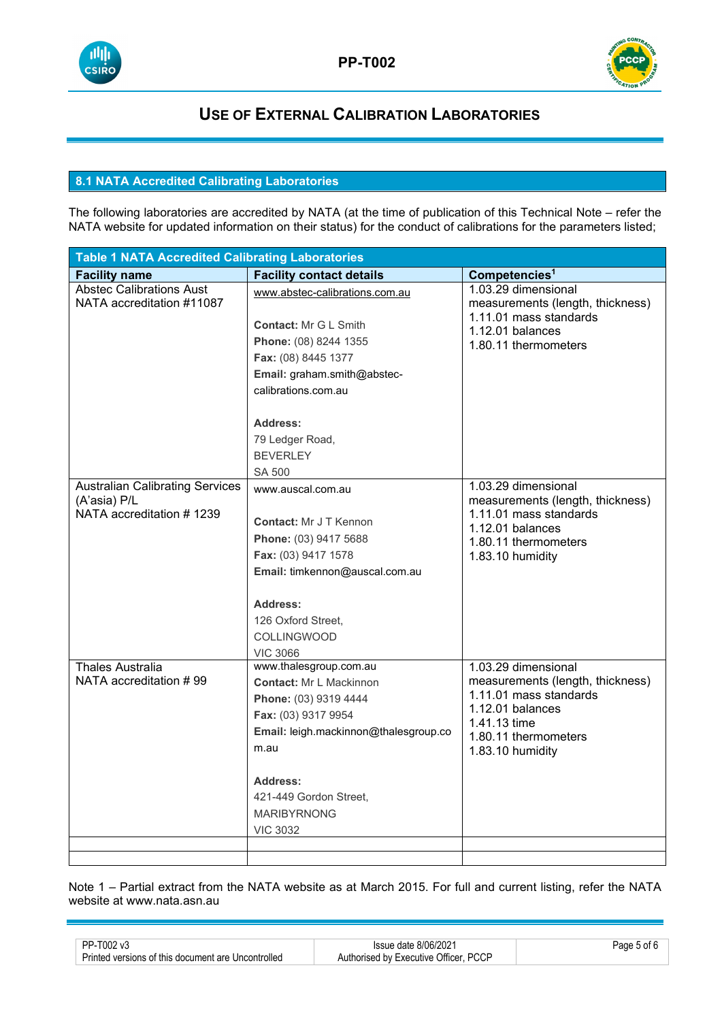



### **8.1 NATA Accredited Calibrating Laboratories**

The following laboratories are accredited by NATA (at the time of publication of this Technical Note – refer the NATA website for updated information on their status) for the conduct of calibrations for the parameters listed;

| <b>Table 1 NATA Accredited Calibrating Laboratories</b> |                                       |                                                            |  |
|---------------------------------------------------------|---------------------------------------|------------------------------------------------------------|--|
| <b>Facility name</b>                                    | <b>Facility contact details</b>       | Competencies <sup>1</sup>                                  |  |
| <b>Abstec Calibrations Aust</b>                         | www.abstec-calibrations.com.au        | 1.03.29 dimensional                                        |  |
| NATA accreditation #11087                               |                                       | measurements (length, thickness)<br>1.11.01 mass standards |  |
|                                                         | <b>Contact: Mr G L Smith</b>          | 1.12.01 balances                                           |  |
|                                                         | Phone: (08) 8244 1355                 | 1.80.11 thermometers                                       |  |
|                                                         | Fax: (08) 8445 1377                   |                                                            |  |
|                                                         | Email: graham.smith@abstec-           |                                                            |  |
|                                                         | calibrations.com.au                   |                                                            |  |
|                                                         |                                       |                                                            |  |
|                                                         | Address:                              |                                                            |  |
|                                                         | 79 Ledger Road,                       |                                                            |  |
|                                                         | <b>BEVERLEY</b>                       |                                                            |  |
|                                                         | <b>SA 500</b>                         |                                                            |  |
| <b>Australian Calibrating Services</b>                  | www.auscal.com.au                     | 1.03.29 dimensional                                        |  |
| (A'asia) P/L                                            |                                       | measurements (length, thickness)                           |  |
| NATA accreditation #1239                                | <b>Contact: Mr J T Kennon</b>         | 1.11.01 mass standards                                     |  |
|                                                         | Phone: (03) 9417 5688                 | 1.12.01 balances<br>1.80.11 thermometers                   |  |
|                                                         | Fax: (03) 9417 1578                   | 1.83.10 humidity                                           |  |
|                                                         | Email: timkennon@auscal.com.au        |                                                            |  |
|                                                         |                                       |                                                            |  |
|                                                         | <b>Address:</b>                       |                                                            |  |
|                                                         | 126 Oxford Street,                    |                                                            |  |
|                                                         | <b>COLLINGWOOD</b>                    |                                                            |  |
|                                                         | <b>VIC 3066</b>                       |                                                            |  |
| <b>Thales Australia</b>                                 | www.thalesgroup.com.au                | 1.03.29 dimensional                                        |  |
| NATA accreditation #99                                  | <b>Contact: Mr L Mackinnon</b>        | measurements (length, thickness)                           |  |
|                                                         | Phone: (03) 9319 4444                 | 1.11.01 mass standards                                     |  |
|                                                         | Fax: (03) 9317 9954                   | 1.12.01 balances<br>1.41.13 time                           |  |
|                                                         | Email: leigh.mackinnon@thalesgroup.co | 1.80.11 thermometers                                       |  |
|                                                         | m.au                                  | 1.83.10 humidity                                           |  |
|                                                         |                                       |                                                            |  |
|                                                         | <b>Address:</b>                       |                                                            |  |
|                                                         | 421-449 Gordon Street,                |                                                            |  |
|                                                         | <b>MARIBYRNONG</b>                    |                                                            |  |
|                                                         | <b>VIC 3032</b>                       |                                                            |  |
|                                                         |                                       |                                                            |  |
|                                                         |                                       |                                                            |  |

Note 1 – Partial extract from the NATA website as at March 2015. For full and current listing, refer the NATA website at www.nata.asn.au

| PP-T002 v3                                         | Issue date 8/06/2021                  | Page 5 of 6 |
|----------------------------------------------------|---------------------------------------|-------------|
| Printed versions of this document are Uncontrolled | Authorised by Executive Officer, PCCP |             |